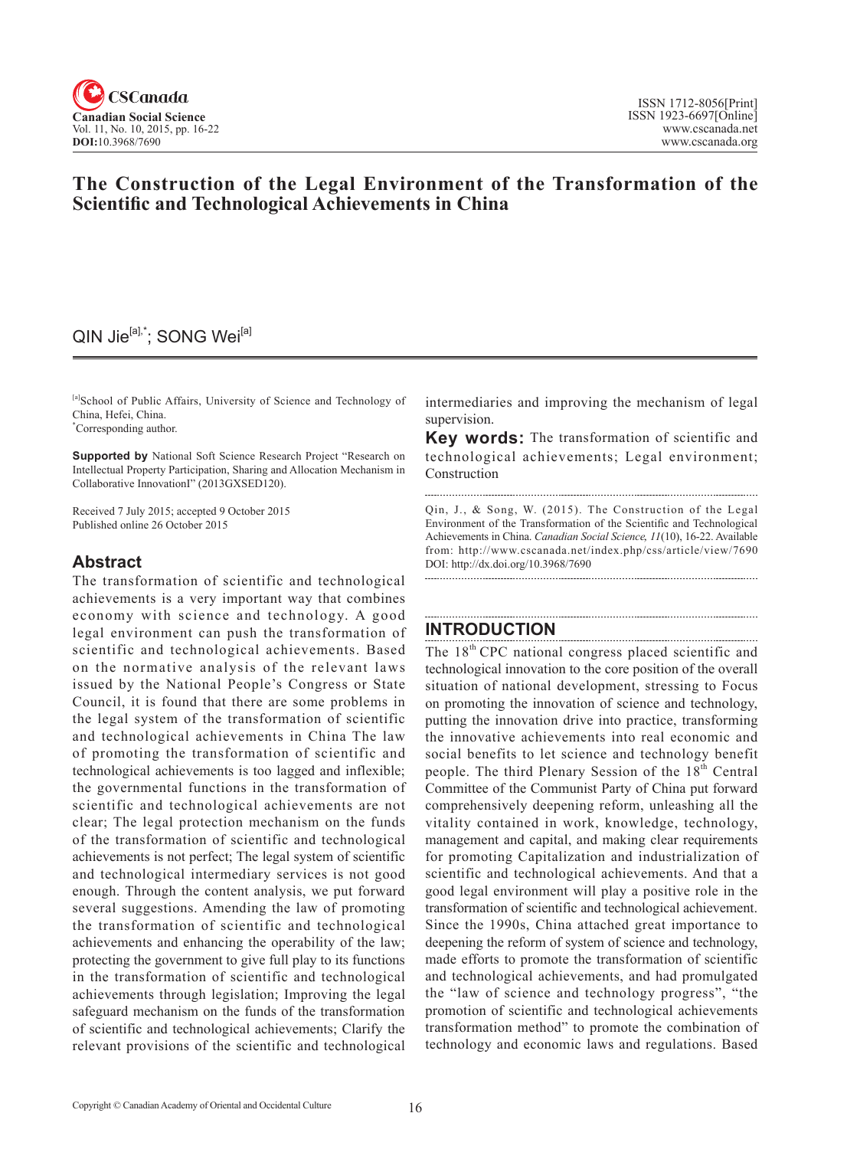

# **The Construction of the Legal Environment of the Transformation of the Scientific and Technological Achievements in China**

# QIN Jie<sup>[a],\*</sup>; SONG Wei<sup>[a]</sup>

[a]School of Public Affairs, University of Science and Technology of China, Hefei, China. \* Corresponding author.

**Supported by** National Soft Science Research Project "Research on Intellectual Property Participation, Sharing and Allocation Mechanism in Collaborative InnovationI" (2013GXSED120).

Received 7 July 2015; accepted 9 October 2015 Published online 26 October 2015

# **Abstract**

The transformation of scientific and technological achievements is a very important way that combines economy with science and technology. A good legal environment can push the transformation of scientific and technological achievements. Based on the normative analysis of the relevant laws issued by the National People's Congress or State Council, it is found that there are some problems in the legal system of the transformation of scientific and technological achievements in China The law of promoting the transformation of scientific and technological achievements is too lagged and inflexible; the governmental functions in the transformation of scientific and technological achievements are not clear; The legal protection mechanism on the funds of the transformation of scientific and technological achievements is not perfect; The legal system of scientific and technological intermediary services is not good enough. Through the content analysis, we put forward several suggestions. Amending the law of promoting the transformation of scientific and technological achievements and enhancing the operability of the law; protecting the government to give full play to its functions in the transformation of scientific and technological achievements through legislation; Improving the legal safeguard mechanism on the funds of the transformation of scientific and technological achievements; Clarify the relevant provisions of the scientific and technological

intermediaries and improving the mechanism of legal supervision.

**Key words:** The transformation of scientific and technological achievements; Legal environment; Construction

Qin, J., & Song, W. (2015). The Construction of the Legal Environment of the Transformation of the Scientific and Technological Achievements in China. *Canadian Social Science*, <sup>11</sup>(10), 16-22. Available from: http://www.cscanada.net/index.php/css/article/view/7690 DOI: http://dx.doi.org/10.3968/7690

# **INTRODUCTION**

The 18<sup>th</sup> CPC national congress placed scientific and technological innovation to the core position of the overall situation of national development, stressing to Focus on promoting the innovation of science and technology, putting the innovation drive into practice, transforming the innovative achievements into real economic and social benefits to let science and technology benefit people. The third Plenary Session of the 18<sup>th</sup> Central Committee of the Communist Party of China put forward comprehensively deepening reform, unleashing all the vitality contained in work, knowledge, technology, management and capital, and making clear requirements for promoting Capitalization and industrialization of scientific and technological achievements. And that a good legal environment will play a positive role in the transformation of scientific and technological achievement. Since the 1990s, China attached great importance to deepening the reform of system of science and technology, made efforts to promote the transformation of scientific and technological achievements, and had promulgated the "law of science and technology progress", "the promotion of scientific and technological achievements transformation method" to promote the combination of technology and economic laws and regulations. Based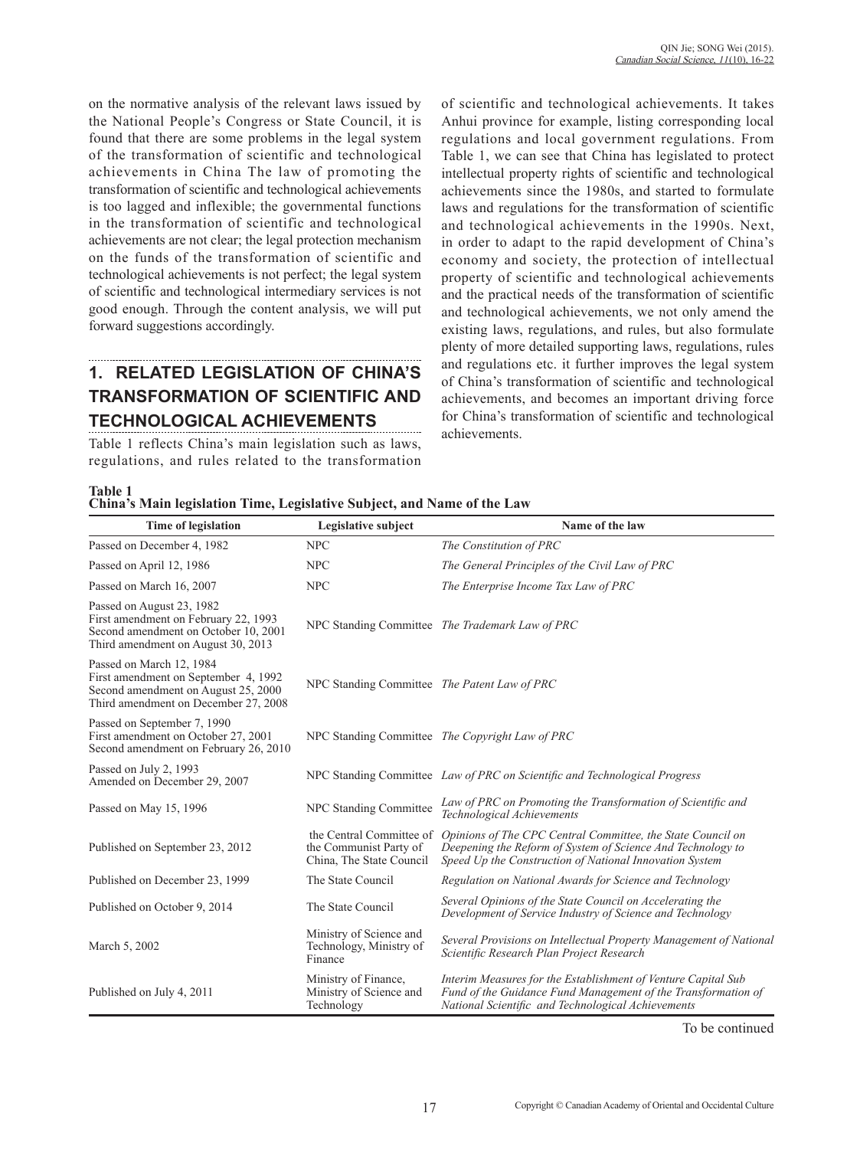on the normative analysis of the relevant laws issued by the National People's Congress or State Council, it is found that there are some problems in the legal system of the transformation of scientific and technological achievements in China The law of promoting the transformation of scientific and technological achievements is too lagged and inflexible; the governmental functions in the transformation of scientific and technological achievements are not clear; the legal protection mechanism on the funds of the transformation of scientific and technological achievements is not perfect; the legal system of scientific and technological intermediary services is not good enough. Through the content analysis, we will put forward suggestions accordingly.

# **1. RELATED LEGISLATION OF CHINA'S TRANSFORMATION OF SCIENTIFIC AND TECHNOLOGICAL ACHIEVEMENTS**

Table 1 reflects China's main legislation such as laws, regulations, and rules related to the transformation

of scientific and technological achievements. It takes Anhui province for example, listing corresponding local regulations and local government regulations. From Table 1, we can see that China has legislated to protect intellectual property rights of scientific and technological achievements since the 1980s, and started to formulate laws and regulations for the transformation of scientific and technological achievements in the 1990s. Next, in order to adapt to the rapid development of China's economy and society, the protection of intellectual property of scientific and technological achievements and the practical needs of the transformation of scientific and technological achievements, we not only amend the existing laws, regulations, and rules, but also formulate plenty of more detailed supporting laws, regulations, rules and regulations etc. it further improves the legal system of China's transformation of scientific and technological achievements, and becomes an important driving force for China's transformation of scientific and technological achievements.

**Table 1**

|  | China's Main legislation Time, Legislative Subject, and Name of the Law |  |
|--|-------------------------------------------------------------------------|--|
|  |                                                                         |  |

| <b>Time of legislation</b>                                                                                                                      | Legislative subject                                                            | Name of the law                                                                                                                                                                       |
|-------------------------------------------------------------------------------------------------------------------------------------------------|--------------------------------------------------------------------------------|---------------------------------------------------------------------------------------------------------------------------------------------------------------------------------------|
| Passed on December 4, 1982                                                                                                                      | <b>NPC</b>                                                                     | The Constitution of PRC                                                                                                                                                               |
| Passed on April 12, 1986                                                                                                                        | <b>NPC</b>                                                                     | The General Principles of the Civil Law of PRC                                                                                                                                        |
| Passed on March 16, 2007                                                                                                                        | <b>NPC</b>                                                                     | The Enterprise Income Tax Law of PRC                                                                                                                                                  |
| Passed on August 23, 1982<br>First amendment on February 22, 1993<br>Second amendment on October 10, 2001<br>Third amendment on August 30, 2013 |                                                                                | NPC Standing Committee The Trademark Law of PRC                                                                                                                                       |
| Passed on March 12, 1984<br>First amendment on September 4, 1992<br>Second amendment on August 25, 2000<br>Third amendment on December 27, 2008 | NPC Standing Committee The Patent Law of PRC                                   |                                                                                                                                                                                       |
| Passed on September 7, 1990<br>First amendment on October 27, 2001<br>Second amendment on February 26, 2010                                     |                                                                                | NPC Standing Committee The Copyright Law of PRC                                                                                                                                       |
| Passed on July 2, 1993<br>Amended on December 29, 2007                                                                                          |                                                                                | NPC Standing Committee Law of PRC on Scientific and Technological Progress                                                                                                            |
| Passed on May 15, 1996                                                                                                                          | NPC Standing Committee                                                         | Law of PRC on Promoting the Transformation of Scientific and<br>Technological Achievements                                                                                            |
| Published on September 23, 2012                                                                                                                 | the Central Committee of<br>the Communist Party of<br>China, The State Council | Opinions of The CPC Central Committee, the State Council on<br>Deepening the Reform of System of Science And Technology to<br>Speed Up the Construction of National Innovation System |
| Published on December 23, 1999                                                                                                                  | The State Council                                                              | Regulation on National Awards for Science and Technology                                                                                                                              |
| Published on October 9, 2014                                                                                                                    | The State Council                                                              | Several Opinions of the State Council on Accelerating the<br>Development of Service Industry of Science and Technology                                                                |
| March 5, 2002                                                                                                                                   | Ministry of Science and<br>Technology, Ministry of<br>Finance                  | Several Provisions on Intellectual Property Management of National<br>Scientific Research Plan Project Research                                                                       |
| Published on July 4, 2011                                                                                                                       | Ministry of Finance,<br>Ministry of Science and<br>Technology                  | Interim Measures for the Establishment of Venture Capital Sub<br>Fund of the Guidance Fund Management of the Transformation of<br>National Scientific and Technological Achievements  |

To be continued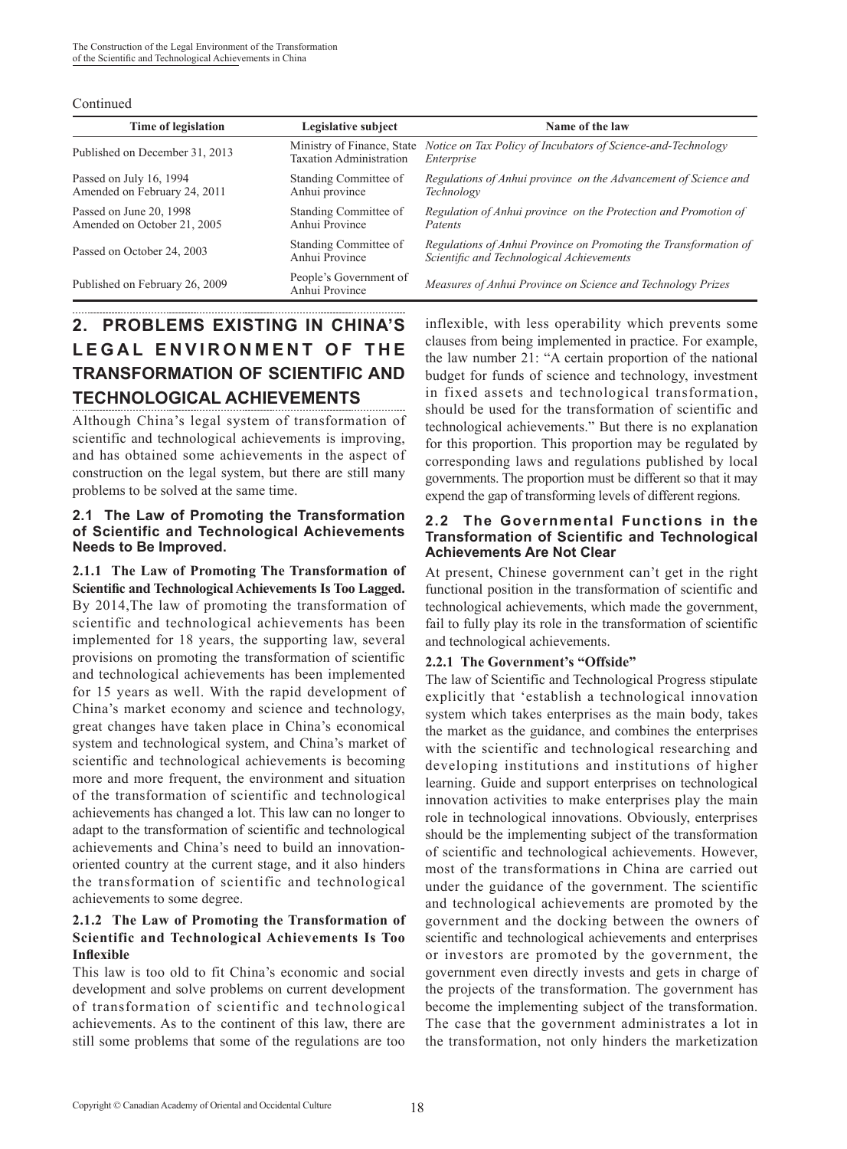#### Continued

| Time of legislation                                     | Legislative subject                                          | Name of the law                                                                                               |
|---------------------------------------------------------|--------------------------------------------------------------|---------------------------------------------------------------------------------------------------------------|
| Published on December 31, 2013                          | Ministry of Finance, State<br><b>Taxation Administration</b> | Notice on Tax Policy of Incubators of Science-and-Technology<br>Enterprise                                    |
| Passed on July 16, 1994<br>Amended on February 24, 2011 | Standing Committee of<br>Anhui province                      | Regulations of Anhui province on the Advancement of Science and<br>Technology                                 |
| Passed on June 20, 1998<br>Amended on October 21, 2005  | Standing Committee of<br>Anhui Province                      | Regulation of Anhui province on the Protection and Promotion of<br>Patents                                    |
| Passed on October 24, 2003                              | Standing Committee of<br>Anhui Province                      | Regulations of Anhui Province on Promoting the Transformation of<br>Scientific and Technological Achievements |
| Published on February 26, 2009                          | People's Government of<br>Anhui Province                     | Measures of Anhui Province on Science and Technology Prizes                                                   |

# **2. PROBLEMS EXISTING IN CHINA'S LEGAL ENVIRONMENT OF THE TRANSFORMATION OF SCIENTIFIC AND TECHNOLOGICAL ACHIEVEMENTS**

Although China's legal system of transformation of scientific and technological achievements is improving, and has obtained some achievements in the aspect of construction on the legal system, but there are still many problems to be solved at the same time.

## **2.1 The Law of Promoting the Transformation of Scientific and Technological Achievements Needs to Be Improved.**

**2.1.1 The Law of Promoting The Transformation of Scientific and Technological Achievements Is Too Lagged.** By 2014,The law of promoting the transformation of scientific and technological achievements has been implemented for 18 years, the supporting law, several provisions on promoting the transformation of scientific and technological achievements has been implemented for 15 years as well. With the rapid development of China's market economy and science and technology, great changes have taken place in China's economical system and technological system, and China's market of scientific and technological achievements is becoming more and more frequent, the environment and situation of the transformation of scientific and technological achievements has changed a lot. This law can no longer to adapt to the transformation of scientific and technological achievements and China's need to build an innovationoriented country at the current stage, and it also hinders the transformation of scientific and technological achievements to some degree.

# **2.1.2 The Law of Promoting the Transformation of Scientific and Technological Achievements Is Too Inflexible**

This law is too old to fit China's economic and social development and solve problems on current development of transformation of scientific and technological achievements. As to the continent of this law, there are still some problems that some of the regulations are too

inflexible, with less operability which prevents some clauses from being implemented in practice. For example, the law number 21: "A certain proportion of the national budget for funds of science and technology, investment in fixed assets and technological transformation, should be used for the transformation of scientific and technological achievements." But there is no explanation for this proportion. This proportion may be regulated by corresponding laws and regulations published by local governments. The proportion must be different so that it may expend the gap of transforming levels of different regions.

#### **2.2 The Governmental Functions in the Transformation of Scientific and Technological Achievements Are Not Clear**

At present, Chinese government can't get in the right functional position in the transformation of scientific and technological achievements, which made the government, fail to fully play its role in the transformation of scientific and technological achievements.

# **2.2.1 The Government's "Offside"**

The law of Scientific and Technological Progress stipulate explicitly that 'establish a technological innovation system which takes enterprises as the main body, takes the market as the guidance, and combines the enterprises with the scientific and technological researching and developing institutions and institutions of higher learning. Guide and support enterprises on technological innovation activities to make enterprises play the main role in technological innovations. Obviously, enterprises should be the implementing subject of the transformation of scientific and technological achievements. However, most of the transformations in China are carried out under the guidance of the government. The scientific and technological achievements are promoted by the government and the docking between the owners of scientific and technological achievements and enterprises or investors are promoted by the government, the government even directly invests and gets in charge of the projects of the transformation. The government has become the implementing subject of the transformation. The case that the government administrates a lot in the transformation, not only hinders the marketization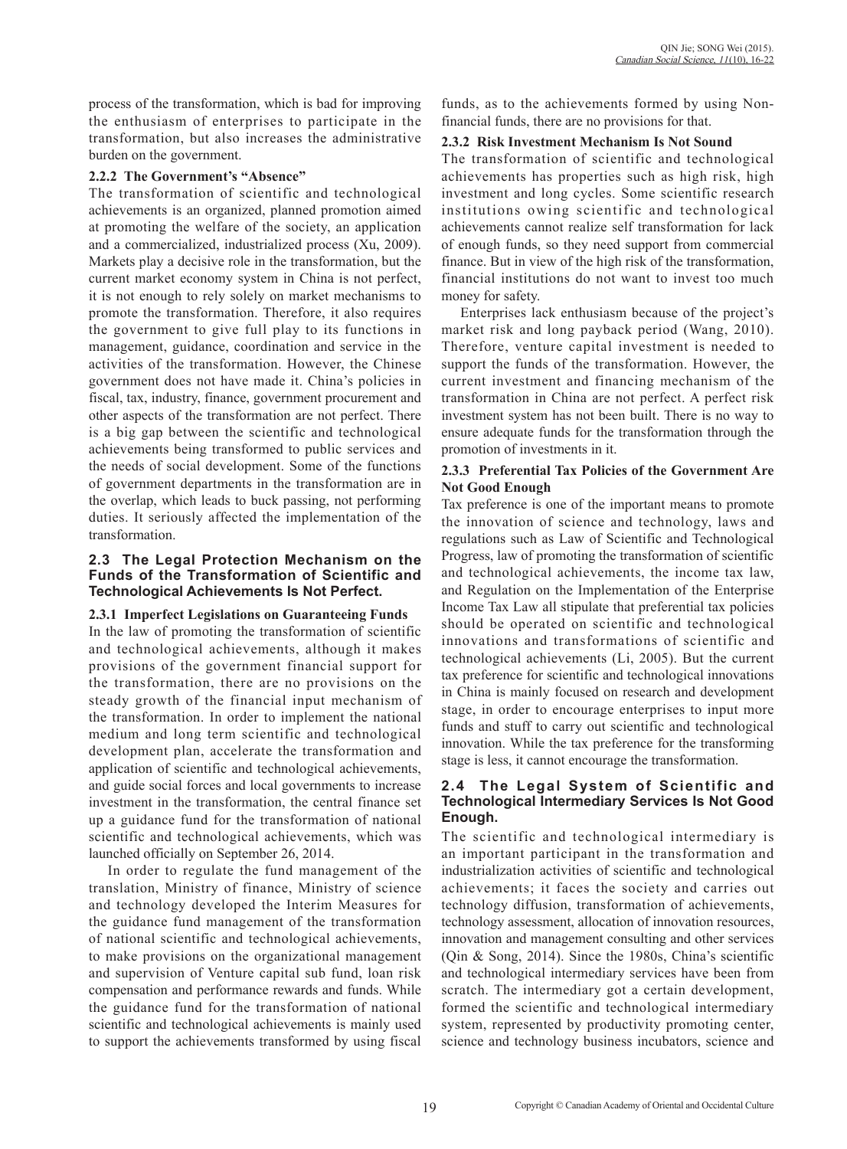process of the transformation, which is bad for improving the enthusiasm of enterprises to participate in the transformation, but also increases the administrative burden on the government.

### **2.2.2 The Government's "Absence"**

The transformation of scientific and technological achievements is an organized, planned promotion aimed at promoting the welfare of the society, an application and a commercialized, industrialized process (Xu, 2009). Markets play a decisive role in the transformation, but the current market economy system in China is not perfect, it is not enough to rely solely on market mechanisms to promote the transformation. Therefore, it also requires the government to give full play to its functions in management, guidance, coordination and service in the activities of the transformation. However, the Chinese government does not have made it. China's policies in fiscal, tax, industry, finance, government procurement and other aspects of the transformation are not perfect. There is a big gap between the scientific and technological achievements being transformed to public services and the needs of social development. Some of the functions of government departments in the transformation are in the overlap, which leads to buck passing, not performing duties. It seriously affected the implementation of the transformation.

#### **2.3 The Legal Protection Mechanism on the Funds of the Transformation of Scientific and Technological Achievements Is Not Perfect.**

#### **2.3.1 Imperfect Legislations on Guaranteeing Funds**

In the law of promoting the transformation of scientific and technological achievements, although it makes provisions of the government financial support for the transformation, there are no provisions on the steady growth of the financial input mechanism of the transformation. In order to implement the national medium and long term scientific and technological development plan, accelerate the transformation and application of scientific and technological achievements, and guide social forces and local governments to increase investment in the transformation, the central finance set up a guidance fund for the transformation of national scientific and technological achievements, which was launched officially on September 26, 2014.

In order to regulate the fund management of the translation, Ministry of finance, Ministry of science and technology developed the Interim Measures for the guidance fund management of the transformation of national scientific and technological achievements, to make provisions on the organizational management and supervision of Venture capital sub fund, loan risk compensation and performance rewards and funds. While the guidance fund for the transformation of national scientific and technological achievements is mainly used to support the achievements transformed by using fiscal

funds, as to the achievements formed by using Nonfinancial funds, there are no provisions for that.

#### **2.3.2 Risk Investment Mechanism Is Not Sound**

The transformation of scientific and technological achievements has properties such as high risk, high investment and long cycles. Some scientific research institutions owing scientific and technological achievements cannot realize self transformation for lack of enough funds, so they need support from commercial finance. But in view of the high risk of the transformation, financial institutions do not want to invest too much money for safety.

Enterprises lack enthusiasm because of the project's market risk and long payback period (Wang, 2010). Therefore, venture capital investment is needed to support the funds of the transformation. However, the current investment and financing mechanism of the transformation in China are not perfect. A perfect risk investment system has not been built. There is no way to ensure adequate funds for the transformation through the promotion of investments in it.

### **2.3.3 Preferential Tax Policies of the Government Are Not Good Enough**

Tax preference is one of the important means to promote the innovation of science and technology, laws and regulations such as Law of Scientific and Technological Progress, law of promoting the transformation of scientific and technological achievements, the income tax law, and Regulation on the Implementation of the Enterprise Income Tax Law all stipulate that preferential tax policies should be operated on scientific and technological innovations and transformations of scientific and technological achievements (Li, 2005). But the current tax preference for scientific and technological innovations in China is mainly focused on research and development stage, in order to encourage enterprises to input more funds and stuff to carry out scientific and technological innovation. While the tax preference for the transforming stage is less, it cannot encourage the transformation.

## **2.4 The Legal System of Scientific and Technological Intermediary Services Is Not Good Enough.**

The scientific and technological intermediary is an important participant in the transformation and industrialization activities of scientific and technological achievements; it faces the society and carries out technology diffusion, transformation of achievements, technology assessment, allocation of innovation resources, innovation and management consulting and other services (Qin & Song, 2014). Since the 1980s, China's scientific and technological intermediary services have been from scratch. The intermediary got a certain development, formed the scientific and technological intermediary system, represented by productivity promoting center, science and technology business incubators, science and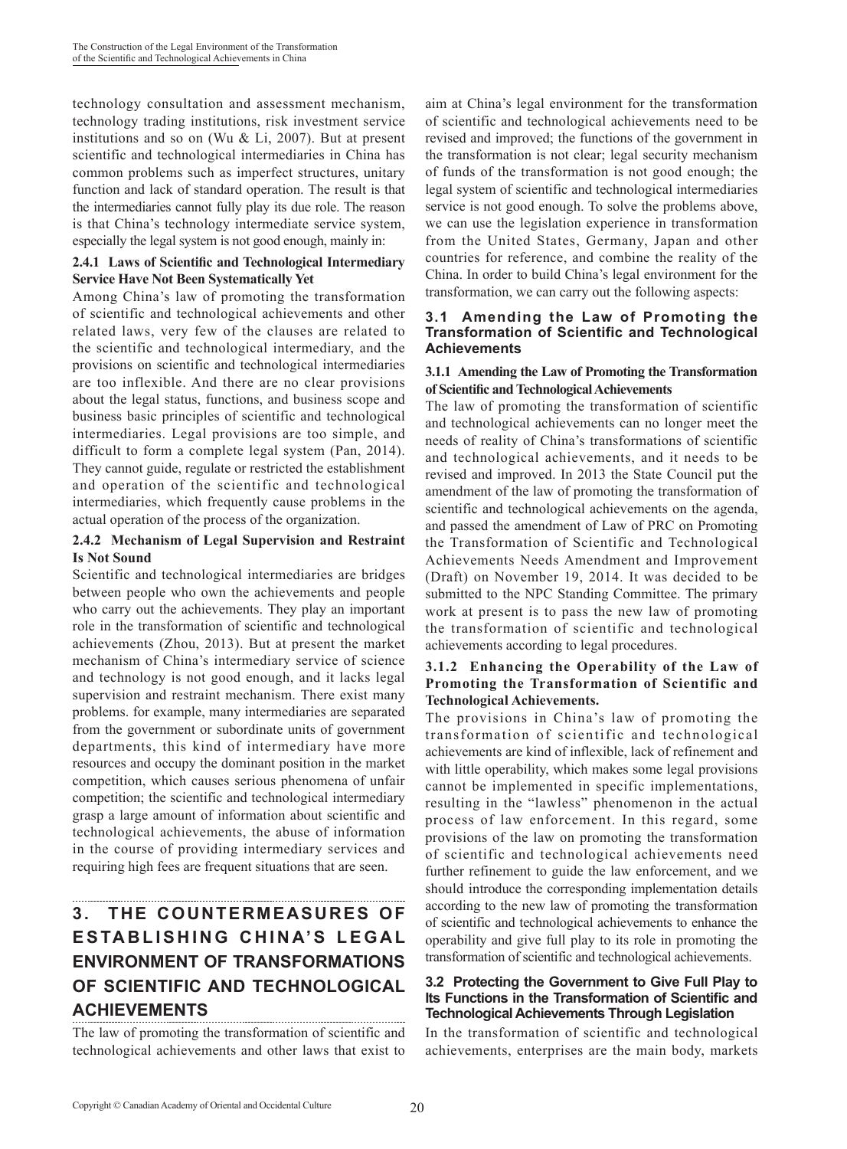technology consultation and assessment mechanism, technology trading institutions, risk investment service institutions and so on (Wu  $&$  Li, 2007). But at present scientific and technological intermediaries in China has common problems such as imperfect structures, unitary function and lack of standard operation. The result is that the intermediaries cannot fully play its due role. The reason is that China's technology intermediate service system, especially the legal system is not good enough, mainly in:

# **2.4.1 Laws of Scientific and Technological Intermediary Service Have Not Been Systematically Yet**

Among China's law of promoting the transformation of scientific and technological achievements and other related laws, very few of the clauses are related to the scientific and technological intermediary, and the provisions on scientific and technological intermediaries are too inflexible. And there are no clear provisions about the legal status, functions, and business scope and business basic principles of scientific and technological intermediaries. Legal provisions are too simple, and difficult to form a complete legal system (Pan, 2014). They cannot guide, regulate or restricted the establishment and operation of the scientific and technological intermediaries, which frequently cause problems in the actual operation of the process of the organization.

# **2.4.2 Mechanism of Legal Supervision and Restraint Is Not Sound**

Scientific and technological intermediaries are bridges between people who own the achievements and people who carry out the achievements. They play an important role in the transformation of scientific and technological achievements (Zhou, 2013). But at present the market mechanism of China's intermediary service of science and technology is not good enough, and it lacks legal supervision and restraint mechanism. There exist many problems. for example, many intermediaries are separated from the government or subordinate units of government departments, this kind of intermediary have more resources and occupy the dominant position in the market competition, which causes serious phenomena of unfair competition; the scientific and technological intermediary grasp a large amount of information about scientific and technological achievements, the abuse of information in the course of providing intermediary services and requiring high fees are frequent situations that are seen.

# **3. THE COUNTERMEASURES OF ESTABLISHING CHINA'S LEGAL ENVIRONMENT OF TRANSFORMATIONS OF SCIENTIFIC AND TECHNOLOGICAL ACHIEVEMENTS**

The law of promoting the transformation of scientific and technological achievements and other laws that exist to aim at China's legal environment for the transformation of scientific and technological achievements need to be revised and improved; the functions of the government in the transformation is not clear; legal security mechanism of funds of the transformation is not good enough; the legal system of scientific and technological intermediaries service is not good enough. To solve the problems above, we can use the legislation experience in transformation from the United States, Germany, Japan and other countries for reference, and combine the reality of the China. In order to build China's legal environment for the transformation, we can carry out the following aspects:

#### **3.1 Amending the Law of Promoting the Transformation of Scientific and Technological Achievements**

# **3.1.1 Amending the Law of Promoting the Transformation of Scientific and Technological Achievements**

The law of promoting the transformation of scientific and technological achievements can no longer meet the needs of reality of China's transformations of scientific and technological achievements, and it needs to be revised and improved. In 2013 the State Council put the amendment of the law of promoting the transformation of scientific and technological achievements on the agenda, and passed the amendment of Law of PRC on Promoting the Transformation of Scientific and Technological Achievements Needs Amendment and Improvement (Draft) on November 19, 2014. It was decided to be submitted to the NPC Standing Committee. The primary work at present is to pass the new law of promoting the transformation of scientific and technological achievements according to legal procedures.

# **3.1.2 Enhancing the Operability of the Law of Promoting the Transformation of Scientific and Technological Achievements.**

The provisions in China's law of promoting the transformation of scientific and technological achievements are kind of inflexible, lack of refinement and with little operability, which makes some legal provisions cannot be implemented in specific implementations, resulting in the "lawless" phenomenon in the actual process of law enforcement. In this regard, some provisions of the law on promoting the transformation of scientific and technological achievements need further refinement to guide the law enforcement, and we should introduce the corresponding implementation details according to the new law of promoting the transformation of scientific and technological achievements to enhance the operability and give full play to its role in promoting the transformation of scientific and technological achievements.

# **3.2 Protecting the Government to Give Full Play to Its Functions in the Transformation of Scientific and Technological Achievements Through Legislation**

In the transformation of scientific and technological achievements, enterprises are the main body, markets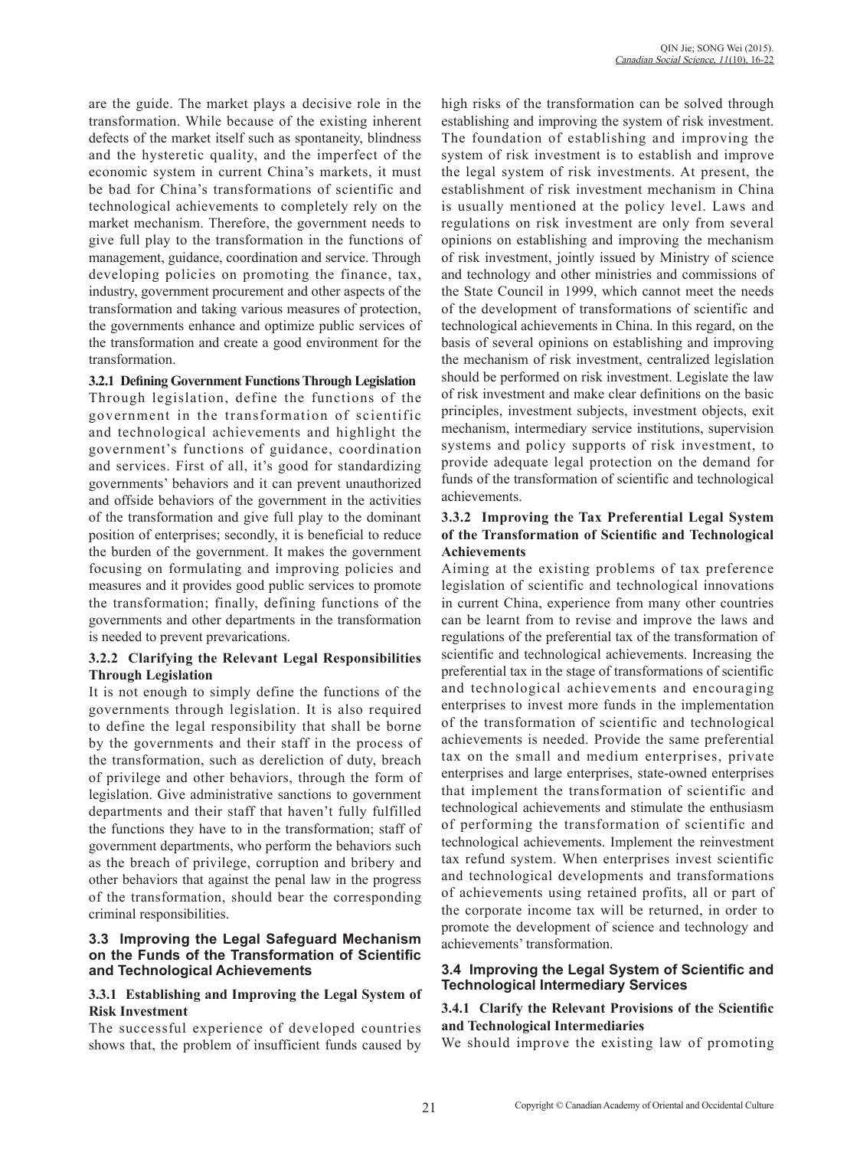are the guide. The market plays a decisive role in the transformation. While because of the existing inherent defects of the market itself such as spontaneity, blindness and the hysteretic quality, and the imperfect of the economic system in current China's markets, it must be bad for China's transformations of scientific and technological achievements to completely rely on the market mechanism. Therefore, the government needs to give full play to the transformation in the functions of management, guidance, coordination and service. Through developing policies on promoting the finance, tax, industry, government procurement and other aspects of the transformation and taking various measures of protection, the governments enhance and optimize public services of the transformation and create a good environment for the transformation.

**3.2.1 Defining Government Functions Through Legislation**

Through legislation, define the functions of the government in the transformation of scientific and technological achievements and highlight the government's functions of guidance, coordination and services. First of all, it's good for standardizing governments' behaviors and it can prevent unauthorized and offside behaviors of the government in the activities of the transformation and give full play to the dominant position of enterprises; secondly, it is beneficial to reduce the burden of the government. It makes the government focusing on formulating and improving policies and measures and it provides good public services to promote the transformation; finally, defining functions of the governments and other departments in the transformation is needed to prevent prevarications.

### **3.2.2 Clarifying the Relevant Legal Responsibilities Through Legislation**

It is not enough to simply define the functions of the governments through legislation. It is also required to define the legal responsibility that shall be borne by the governments and their staff in the process of the transformation, such as dereliction of duty, breach of privilege and other behaviors, through the form of legislation. Give administrative sanctions to government departments and their staff that haven't fully fulfilled the functions they have to in the transformation; staff of government departments, who perform the behaviors such as the breach of privilege, corruption and bribery and other behaviors that against the penal law in the progress of the transformation, should bear the corresponding criminal responsibilities.

#### **3.3 Improving the Legal Safeguard Mechanism on the Funds of the Transformation of Scientific and Technological Achievements**

### **3.3.1 Establishing and Improving the Legal System of Risk Investment**

The successful experience of developed countries shows that, the problem of insufficient funds caused by high risks of the transformation can be solved through establishing and improving the system of risk investment. The foundation of establishing and improving the system of risk investment is to establish and improve the legal system of risk investments. At present, the establishment of risk investment mechanism in China is usually mentioned at the policy level. Laws and regulations on risk investment are only from several opinions on establishing and improving the mechanism of risk investment, jointly issued by Ministry of science and technology and other ministries and commissions of the State Council in 1999, which cannot meet the needs of the development of transformations of scientific and technological achievements in China. In this regard, on the basis of several opinions on establishing and improving the mechanism of risk investment, centralized legislation should be performed on risk investment. Legislate the law of risk investment and make clear definitions on the basic principles, investment subjects, investment objects, exit mechanism, intermediary service institutions, supervision systems and policy supports of risk investment, to provide adequate legal protection on the demand for funds of the transformation of scientific and technological achievements.

## **3.3.2 Improving the Tax Preferential Legal System of the Transformation of Scientific and Technological Achievements**

Aiming at the existing problems of tax preference legislation of scientific and technological innovations in current China, experience from many other countries can be learnt from to revise and improve the laws and regulations of the preferential tax of the transformation of scientific and technological achievements. Increasing the preferential tax in the stage of transformations of scientific and technological achievements and encouraging enterprises to invest more funds in the implementation of the transformation of scientific and technological achievements is needed. Provide the same preferential tax on the small and medium enterprises, private enterprises and large enterprises, state-owned enterprises that implement the transformation of scientific and technological achievements and stimulate the enthusiasm of performing the transformation of scientific and technological achievements. Implement the reinvestment tax refund system. When enterprises invest scientific and technological developments and transformations of achievements using retained profits, all or part of the corporate income tax will be returned, in order to promote the development of science and technology and achievements' transformation.

# **3.4 Improving the Legal System of Scientific and Technological Intermediary Services**

# **3.4.1 Clarify the Relevant Provisions of the Scientific and Technological Intermediaries**

We should improve the existing law of promoting